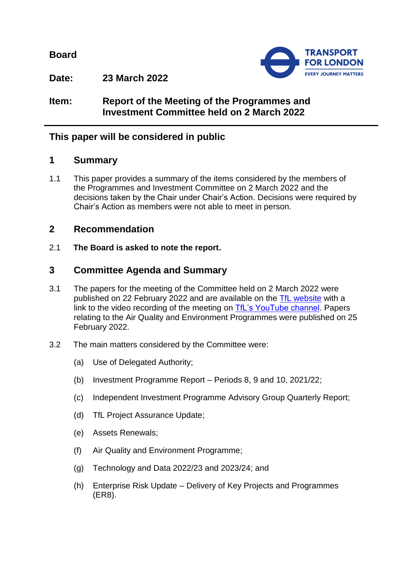**Board**



**Date: 23 March 2022**

**Item: Report of the Meeting of the Programmes and Investment Committee held on 2 March 2022**

# **This paper will be considered in public**

## **1 Summary**

1.1 This paper provides a summary of the items considered by the members of the Programmes and Investment Committee on 2 March 2022 and the decisions taken by the Chair under Chair's Action. Decisions were required by Chair's Action as members were not able to meet in person.

## **2 Recommendation**

2.1 **The Board is asked to note the report.**

## **3 Committee Agenda and Summary**

- 3.1 The papers for the meeting of the Committee held on 2 March 2022 were published on 22 February 2022 and are available on the [TfL website](https://board.tfl.gov.uk/uuCoverPage.aspx?bcr=1) with a link to the video recording of the meeting on [TfL's YouTube channel.](https://www.youtube.com/playlist?list=PLtnlusA0Zoggk4qvN68OcnD9k_7B8cY_d) Papers relating to the Air Quality and Environment Programmes were published on 25 February 2022.
- 3.2 The main matters considered by the Committee were:
	- (a) Use of Delegated Authority;
	- (b) Investment Programme Report Periods 8, 9 and 10, 2021/22;
	- (c) Independent Investment Programme Advisory Group Quarterly Report;
	- (d) TfL Project Assurance Update;
	- (e) Assets Renewals;
	- (f) Air Quality and Environment Programme;
	- (g) Technology and Data 2022/23 and 2023/24; and
	- (h) Enterprise Risk Update Delivery of Key Projects and Programmes (ER8).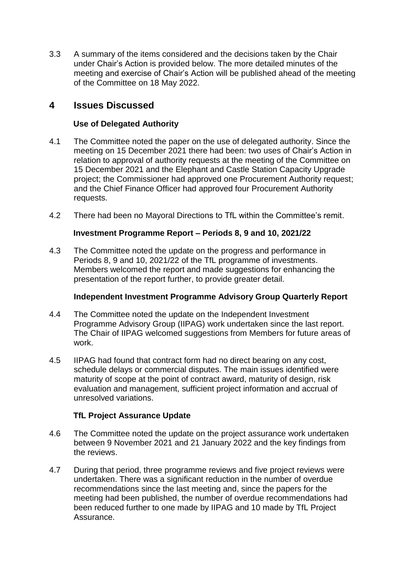3.3 A summary of the items considered and the decisions taken by the Chair under Chair's Action is provided below. The more detailed minutes of the meeting and exercise of Chair's Action will be published ahead of the meeting of the Committee on 18 May 2022.

## **4 Issues Discussed**

## **Use of Delegated Authority**

- 4.1 The Committee noted the paper on the use of delegated authority. Since the meeting on 15 December 2021 there had been: two uses of Chair's Action in relation to approval of authority requests at the meeting of the Committee on 15 December 2021 and the Elephant and Castle Station Capacity Upgrade project; the Commissioner had approved one Procurement Authority request; and the Chief Finance Officer had approved four Procurement Authority requests.
- 4.2 There had been no Mayoral Directions to TfL within the Committee's remit.

### **Investment Programme Report – Periods 8, 9 and 10, 2021/22**

4.3 The Committee noted the update on the progress and performance in Periods 8, 9 and 10, 2021/22 of the TfL programme of investments. Members welcomed the report and made suggestions for enhancing the presentation of the report further, to provide greater detail.

## **Independent Investment Programme Advisory Group Quarterly Report**

- 4.4 The Committee noted the update on the Independent Investment Programme Advisory Group (IIPAG) work undertaken since the last report. The Chair of IIPAG welcomed suggestions from Members for future areas of work.
- 4.5 IIPAG had found that contract form had no direct bearing on any cost, schedule delays or commercial disputes. The main issues identified were maturity of scope at the point of contract award, maturity of design, risk evaluation and management, sufficient project information and accrual of unresolved variations.

## **TfL Project Assurance Update**

- 4.6 The Committee noted the update on the project assurance work undertaken between 9 November 2021 and 21 January 2022 and the key findings from the reviews.
- 4.7 During that period, three programme reviews and five project reviews were undertaken. There was a significant reduction in the number of overdue recommendations since the last meeting and, since the papers for the meeting had been published, the number of overdue recommendations had been reduced further to one made by IIPAG and 10 made by TfL Project Assurance.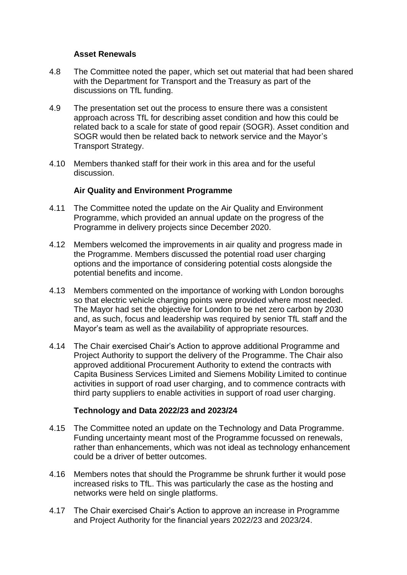#### **Asset Renewals**

- 4.8 The Committee noted the paper, which set out material that had been shared with the Department for Transport and the Treasury as part of the discussions on TfL funding.
- 4.9 The presentation set out the process to ensure there was a consistent approach across TfL for describing asset condition and how this could be related back to a scale for state of good repair (SOGR). Asset condition and SOGR would then be related back to network service and the Mayor's Transport Strategy.
- 4.10 Members thanked staff for their work in this area and for the useful discussion.

### **Air Quality and Environment Programme**

- 4.11 The Committee noted the update on the Air Quality and Environment Programme, which provided an annual update on the progress of the Programme in delivery projects since December 2020.
- 4.12 Members welcomed the improvements in air quality and progress made in the Programme. Members discussed the potential road user charging options and the importance of considering potential costs alongside the potential benefits and income.
- 4.13 Members commented on the importance of working with London boroughs so that electric vehicle charging points were provided where most needed. The Mayor had set the objective for London to be net zero carbon by 2030 and, as such, focus and leadership was required by senior TfL staff and the Mayor's team as well as the availability of appropriate resources.
- 4.14 The Chair exercised Chair's Action to approve additional Programme and Project Authority to support the delivery of the Programme. The Chair also approved additional Procurement Authority to extend the contracts with Capita Business Services Limited and Siemens Mobility Limited to continue activities in support of road user charging, and to commence contracts with third party suppliers to enable activities in support of road user charging.

## **Technology and Data 2022/23 and 2023/24**

- 4.15 The Committee noted an update on the Technology and Data Programme. Funding uncertainty meant most of the Programme focussed on renewals, rather than enhancements, which was not ideal as technology enhancement could be a driver of better outcomes.
- 4.16 Members notes that should the Programme be shrunk further it would pose increased risks to TfL. This was particularly the case as the hosting and networks were held on single platforms.
- 4.17 The Chair exercised Chair's Action to approve an increase in Programme and Project Authority for the financial years 2022/23 and 2023/24.